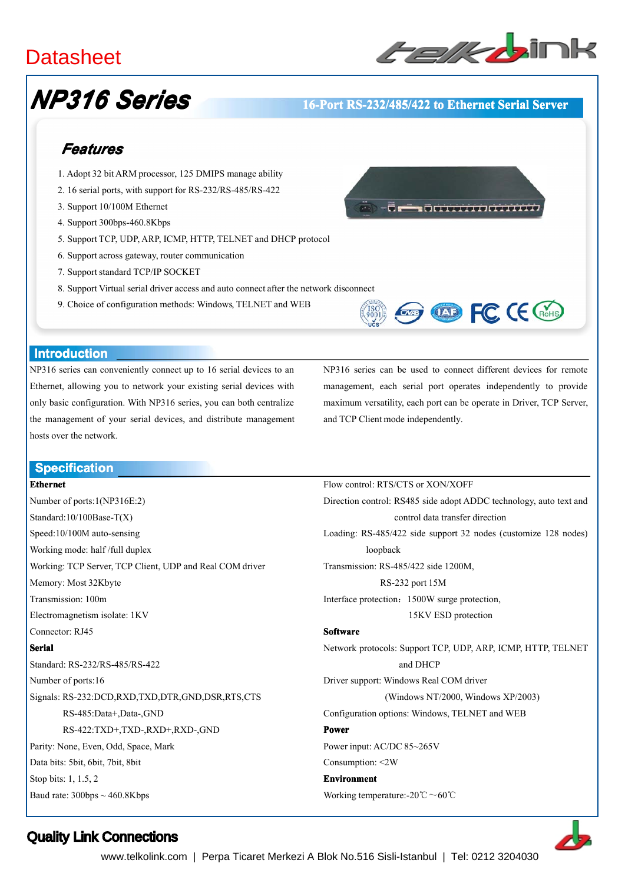# **Datasheet**



# *NP316 Series*

#### **16-Port RS-232/485/422 to Ethernet Serial Server**

# *Features*

- 1. Adopt 32 bitARM processor, 125 DMIPS manage ability
- 2. 16 serial ports, with suppor<sup>t</sup> for RS-232/RS-485/RS-422
- 3. Support 10/100M Ethernet
- 4. Support 300bps-460.8Kbps
- 5. Support TCP, UDP, ARP, ICMP, HTTP, TELNET and DHCP protocol
- 6. Support across gateway, router communication
- 7. Support standard TCP/IP SOCKET
- 8. Support Virtual serial driver access and auto connect after the network disconnect
- 9. Choice of configuration methods: Windows, TELNET and WEB



#### **Introduction Introduction**

NP316 series can conveniently connect up to 16 serial devices to an Ethernet, allowing you to network your existing serial devices with only basic configuration. With NP316 series, you can both centralize the managemen<sup>t</sup> of your serial devices, and distribute managemen<sup>t</sup> hosts over the network.

NP316 series can be used to connect different devices for remote management, each serial por<sup>t</sup> operates independently to provide maximum versatility, each por<sup>t</sup> can be operate in Driver, TCP Server, and TCP Client mode independently.

**EXP FC CE CROHS** 

Flow control: RTS/CTS or XON/XOFF

#### **Specification Specification**

#### **Ethernet**

Number of ports:1(NP316E:2) Standard:10/100Base-T(X) Speed:10/100M auto-sensing Working mode: half /full duplex Working: TCP Server, TCP Client, UDP and Real COM driver Memory: Most 32Kbyte Transmission: 100m Electromagnetism isolate: 1KV Connector: RJ45 **Serial** Standard: RS-232/RS-485/RS-422 Number of ports:16 Signals: RS-232:DCD,RXD,TXD,DTR,GND,DSR,RTS,CTS RS-485:Data+,Data-,GND RS-422:TXD+,TXD-,RXD+,RXD-,GND Parity: None, Even, Odd, Space, Mark Data bits: 5bit, 6bit, 7bit, 8bit Stop bits: 1, 1.5, 2 Baud rate:  $300bps \sim 460.8Kbps$ 

Direction control: RS485 side adopt ADDC technology, auto text and control data transfer direction Loading: RS-485/422 side suppor<sup>t</sup> 32 nodes (customize 128 nodes) loopback Transmission: RS-485/422 side 1200M, RS-232 por<sup>t</sup> 15M Interface protection:1500W surge protection, 15KV ESD protection **Software Software** Network protocols: Support TCP, UDP, ARP, ICMP, HTTP, TELNET and DHCP Driver support: Windows Real COM driver (Windows NT/2000, Windows XP/2003) Configuration options: Windows, TELNET and WEB **Power** Power input: AC/DC 85~265V Consumption: <2W **Environment Environment** Working temperature:-20℃~60℃

## Quality Link Connections